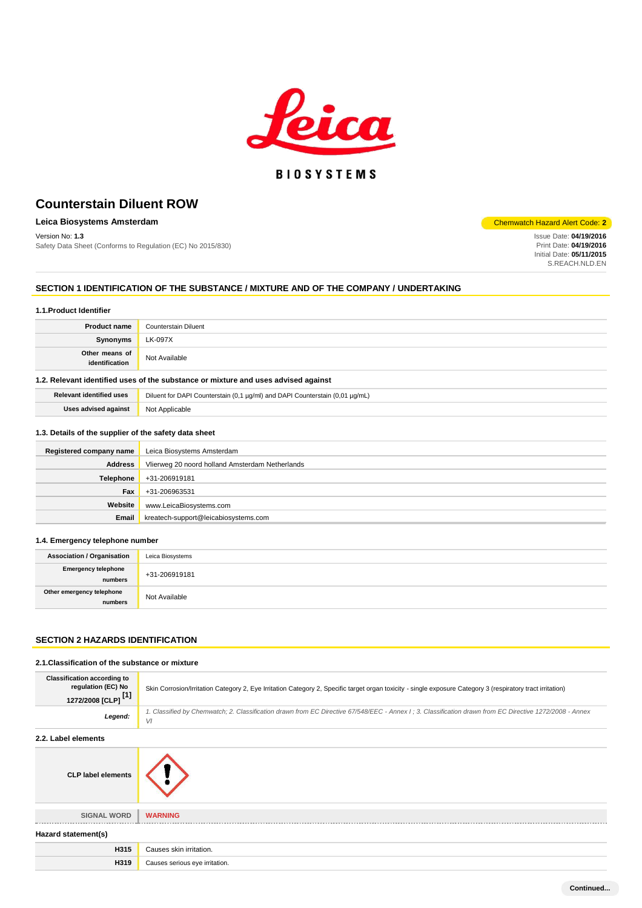

## **BIOSYSTEMS**

## **Counterstain Diluent ROW**

## **Leica Biosystems Amsterdam** Chemwatch Hazard Alert Code: 2<sup>1</sup>

Safety Data Sheet (Conforms to Regulation (EC) No 2015/830)

Version No: **1.3** Issue Date: 04/19/2016<br>
Safety Data Sheet (Conforms to Regulation (EC) No 2015/830)<br>
Print Date: 04/19/2016 Initial Date: **05/11/2015** S.REACH.NLD.EN

#### **SECTION 1 IDENTIFICATION OF THE SUBSTANCE / MIXTURE AND OF THE COMPANY / UNDERTAKING**

#### **1.1.Product Identifier**

| <b>Product name</b>                                                                | Counterstain Diluent |  |
|------------------------------------------------------------------------------------|----------------------|--|
| Synonyms                                                                           | LK-097X              |  |
| Other means of<br>identification                                                   | Not Available        |  |
| 1.2. Relevant identified uses of the substance or mixture and uses advised against |                      |  |

| Relevant identified uses | Diluent for DAPI Counterstain (0,1 µg/ml) and DAPI Counterstain (0,01 µg/mL) |
|--------------------------|------------------------------------------------------------------------------|
| Uses advised against     | Not Applicable                                                               |

## **1.3. Details of the supplier of the safety data sheet**

| Registered company name | Leica Biosystems Amsterdam                      |  |  |  |
|-------------------------|-------------------------------------------------|--|--|--|
| <b>Address</b>          | Vlierweg 20 noord holland Amsterdam Netherlands |  |  |  |
| Telephone               | +31-206919181                                   |  |  |  |
| Fax                     | +31-206963531                                   |  |  |  |
| Website                 | www.LeicaBiosystems.com                         |  |  |  |
| Email                   | kreatech-support@leicabiosystems.com            |  |  |  |

## **1.4. Emergency telephone number**

| <b>Association / Organisation</b>     | Leica Biosystems |
|---------------------------------------|------------------|
| <b>Emergency telephone</b><br>numbers | +31-206919181    |
| Other emergency telephone<br>numbers  | Not Available    |

## **SECTION 2 HAZARDS IDENTIFICATION**

#### **2.1.Classification of the substance or mixture**

| <b>Classification according to</b><br>regulation (EC) No<br>1272/2008 [CLP] <sup>[1]</sup> | Skin Corrosion/Irritation Category 2, Eye Irritation Category 2, Specific target organ toxicity - single exposure Category 3 (respiratory tract irritation)   |  |  |  |
|--------------------------------------------------------------------------------------------|---------------------------------------------------------------------------------------------------------------------------------------------------------------|--|--|--|
| Legend:                                                                                    | 1. Classified by Chemwatch; 2. Classification drawn from EC Directive 67/548/EEC - Annex I; 3. Classification drawn from EC Directive 1272/2008 - Annex<br>VI |  |  |  |
| 2.2. Label elements                                                                        |                                                                                                                                                               |  |  |  |
| <b>CLP label elements</b>                                                                  |                                                                                                                                                               |  |  |  |
| <b>SIGNAL WORD</b>                                                                         | <b>WARNING</b>                                                                                                                                                |  |  |  |
| Hazard statement(s)                                                                        |                                                                                                                                                               |  |  |  |
| H315                                                                                       | Causes skin irritation.                                                                                                                                       |  |  |  |
| H319                                                                                       | Causes serious eye irritation.                                                                                                                                |  |  |  |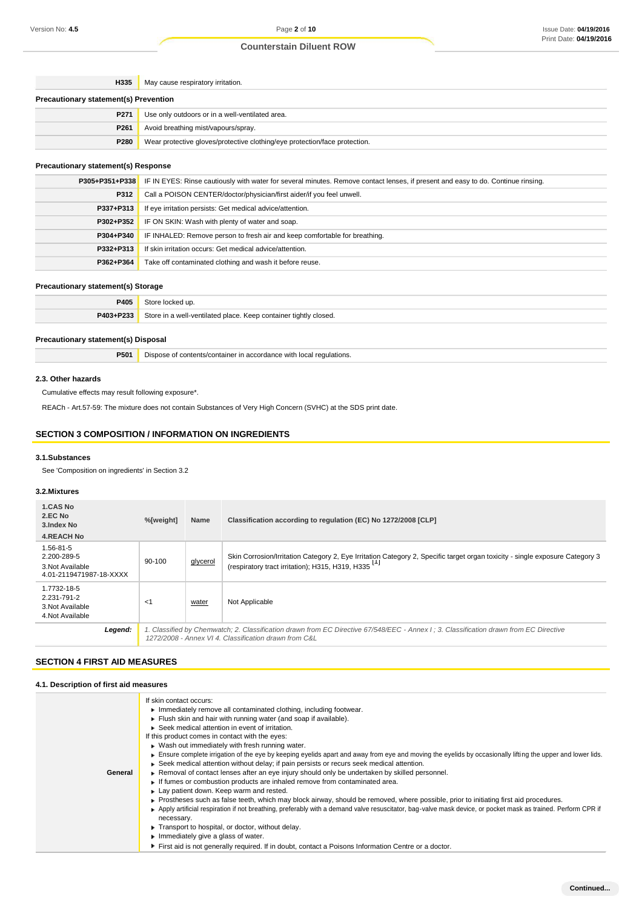## **Counterstain Diluent ROW**

| H335                                         | May cause respiratory irritation.                                          |  |  |  |
|----------------------------------------------|----------------------------------------------------------------------------|--|--|--|
| <b>Precautionary statement(s) Prevention</b> |                                                                            |  |  |  |
| P <sub>271</sub>                             | Use only outdoors or in a well-ventilated area.                            |  |  |  |
| P261                                         | Avoid breathing mist/vapours/spray.                                        |  |  |  |
| P280                                         | Wear protective gloves/protective clothing/eye protection/face protection. |  |  |  |
|                                              |                                                                            |  |  |  |

## **Precautionary statement(s) Response**

|           | <b>P305+P351+P338</b> IF IN EYES: Rinse cautiously with water for several minutes. Remove contact lenses, if present and easy to do. Continue rinsing. |  |  |
|-----------|--------------------------------------------------------------------------------------------------------------------------------------------------------|--|--|
| P312      | Call a POISON CENTER/doctor/physician/first aider/if you feel unwell.                                                                                  |  |  |
| P337+P313 | If eye irritation persists: Get medical advice/attention.                                                                                              |  |  |
| P302+P352 | IF ON SKIN: Wash with plenty of water and soap.                                                                                                        |  |  |
| P304+P340 | IF INHALED: Remove person to fresh air and keep comfortable for breathing.                                                                             |  |  |
| P332+P313 | If skin irritation occurs: Get medical advice/attention.                                                                                               |  |  |
| P362+P364 | Take off contaminated clothing and wash it before reuse.                                                                                               |  |  |
|           |                                                                                                                                                        |  |  |

## **Precautionary statement(s) Storage**

|           | <b>P405</b> Store locked up.                                     |  |
|-----------|------------------------------------------------------------------|--|
| P403+P233 | Store in a well-ventilated place. Keep container tightly closed. |  |

## **Precautionary statement(s) Disposal**

| P501 | Dispose of contents/container in accordance with local regulations. |  |
|------|---------------------------------------------------------------------|--|
|------|---------------------------------------------------------------------|--|

## **2.3. Other hazards**

Cumulative effects may result following exposure\*.

REACh - Art.57-59: The mixture does not contain Substances of Very High Concern (SVHC) at the SDS print date.

## **SECTION 3 COMPOSITION / INFORMATION ON INGREDIENTS**

## **3.1.Substances**

See 'Composition on ingredients' in Section 3.2

## **3.2.Mixtures**

| 1.CAS No<br>2.EC No<br>3. Index No                                            | %[weight] | Name     | Classification according to regulation (EC) No 1272/2008 [CLP]                                                                                                                                 |
|-------------------------------------------------------------------------------|-----------|----------|------------------------------------------------------------------------------------------------------------------------------------------------------------------------------------------------|
| <b>4.REACH No</b>                                                             |           |          |                                                                                                                                                                                                |
| $1.56 - 81 - 5$<br>2.200-289-5<br>3. Not Available<br>4.01-2119471987-18-XXXX | 90-100    | glycerol | Skin Corrosion/Irritation Category 2, Eye Irritation Category 2, Specific target organ toxicity - single exposure Category 3<br>(respiratory tract irritation); H315, H319, H335 <sup>11</sup> |
| 1.7732-18-5<br>2.231-791-2<br>3. Not Available<br>4. Not Available            | $<$ 1     | water    | Not Applicable                                                                                                                                                                                 |
| Legend:                                                                       |           |          | 1. Classified by Chemwatch; 2. Classification drawn from EC Directive 67/548/EEC - Annex I; 3. Classification drawn from EC Directive<br>1272/2008 - Annex VI 4. Classification drawn from C&L |

## **SECTION 4 FIRST AID MEASURES**

## **4.1. Description of first aid measures**

| General | If skin contact occurs:<br>In mediately remove all contaminated clothing, including footwear.<br>Flush skin and hair with running water (and soap if available).<br>▶ Seek medical attention in event of irritation.<br>If this product comes in contact with the eyes:<br>Wash out immediately with fresh running water.<br>Ensure complete irrigation of the eye by keeping eyelids apart and away from eye and moving the eyelids by occasionally lifting the upper and lower lids.<br>► Seek medical attention without delay; if pain persists or recurs seek medical attention.<br>► Removal of contact lenses after an eye injury should only be undertaken by skilled personnel.<br>If fumes or combustion products are inhaled remove from contaminated area.<br>Lay patient down. Keep warm and rested.<br>► Prostheses such as false teeth, which may block airway, should be removed, where possible, prior to initiating first aid procedures.<br>Apply artificial respiration if not breathing, preferably with a demand valve resuscitator, bag-valve mask device, or pocket mask as trained. Perform CPR if<br>necessary.<br>Transport to hospital, or doctor, without delay.<br>$\blacktriangleright$ Immediately give a glass of water. |
|---------|----------------------------------------------------------------------------------------------------------------------------------------------------------------------------------------------------------------------------------------------------------------------------------------------------------------------------------------------------------------------------------------------------------------------------------------------------------------------------------------------------------------------------------------------------------------------------------------------------------------------------------------------------------------------------------------------------------------------------------------------------------------------------------------------------------------------------------------------------------------------------------------------------------------------------------------------------------------------------------------------------------------------------------------------------------------------------------------------------------------------------------------------------------------------------------------------------------------------------------------------------------|
|         |                                                                                                                                                                                                                                                                                                                                                                                                                                                                                                                                                                                                                                                                                                                                                                                                                                                                                                                                                                                                                                                                                                                                                                                                                                                          |
|         | First aid is not generally required. If in doubt, contact a Poisons Information Centre or a doctor.                                                                                                                                                                                                                                                                                                                                                                                                                                                                                                                                                                                                                                                                                                                                                                                                                                                                                                                                                                                                                                                                                                                                                      |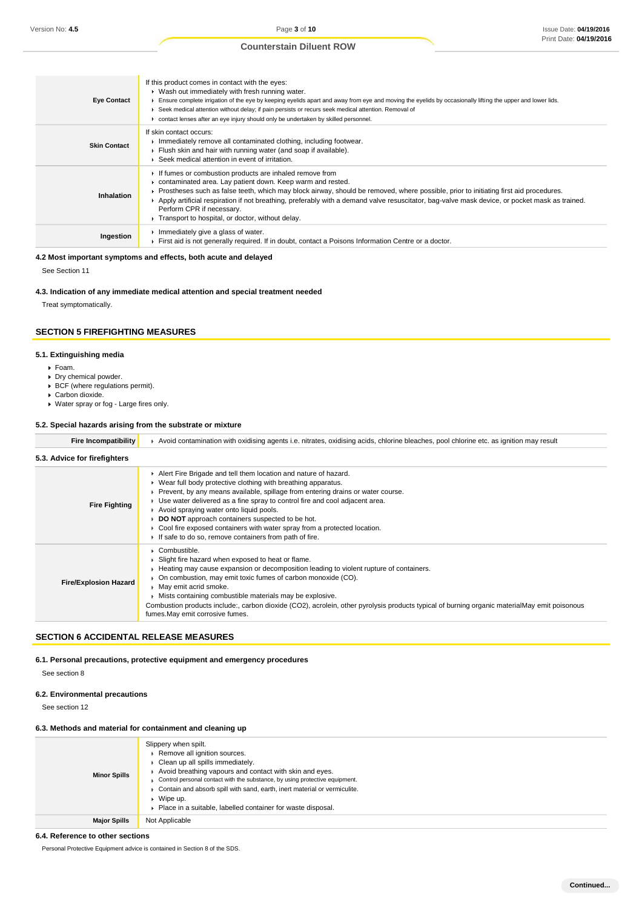## **Counterstain Diluent ROW**

| <b>Eye Contact</b>  | If this product comes in contact with the eyes:<br>• Wash out immediately with fresh running water.<br>Ensure complete irrigation of the eye by keeping eyelids apart and away from eye and moving the eyelids by occasionally lifting the upper and lower lids.<br>F Seek medical attention without delay; if pain persists or recurs seek medical attention. Removal of<br>contact lenses after an eye injury should only be undertaken by skilled personnel.                                                        |
|---------------------|------------------------------------------------------------------------------------------------------------------------------------------------------------------------------------------------------------------------------------------------------------------------------------------------------------------------------------------------------------------------------------------------------------------------------------------------------------------------------------------------------------------------|
| <b>Skin Contact</b> | If skin contact occurs:<br>$\triangleright$ Immediately remove all contaminated clothing, including footwear.<br>Flush skin and hair with running water (and soap if available).<br>▶ Seek medical attention in event of irritation.                                                                                                                                                                                                                                                                                   |
| <b>Inhalation</b>   | If fumes or combustion products are inhaled remove from<br>$\triangleright$ contaminated area. Lay patient down. Keep warm and rested.<br>► Prostheses such as false teeth, which may block airway, should be removed, where possible, prior to initiating first aid procedures.<br>E Apply artificial respiration if not breathing, preferably with a demand valve resuscitator, bag-valve mask device, or pocket mask as trained.<br>Perform CPR if necessary.<br>F Transport to hospital, or doctor, without delay. |
| Ingestion           | Immediately give a glass of water.<br>First aid is not generally required. If in doubt, contact a Poisons Information Centre or a doctor.                                                                                                                                                                                                                                                                                                                                                                              |

## **4.2 Most important symptoms and effects, both acute and delayed**

See Section 11

## **4.3. Indication of any immediate medical attention and special treatment needed**

Treat symptomatically.

## **SECTION 5 FIREFIGHTING MEASURES**

## **5.1. Extinguishing media**

- Foam.
- Dry chemical powder.
- BCF (where regulations permit).
- Carbon dioxide.
- Water spray or fog Large fires only.

## **5.2. Special hazards arising from the substrate or mixture**

| Fire Incompatibility         | F Avoid contamination with oxidising agents i.e. nitrates, oxidising acids, chlorine bleaches, pool chlorine etc. as ignition may result                                                                                                                                                                                                                                                                                                                                                                                                                            |
|------------------------------|---------------------------------------------------------------------------------------------------------------------------------------------------------------------------------------------------------------------------------------------------------------------------------------------------------------------------------------------------------------------------------------------------------------------------------------------------------------------------------------------------------------------------------------------------------------------|
| 5.3. Advice for firefighters |                                                                                                                                                                                                                                                                                                                                                                                                                                                                                                                                                                     |
| <b>Fire Fighting</b>         | Alert Fire Brigade and tell them location and nature of hazard.<br>■ Wear full body protective clothing with breathing apparatus.<br>► Prevent, by any means available, spillage from entering drains or water course.<br>• Use water delivered as a fine spray to control fire and cool adjacent area.<br>Avoid spraying water onto liquid pools.<br><b>DO NOT</b> approach containers suspected to be hot.<br>$\triangleright$ Cool fire exposed containers with water spray from a protected location.<br>If safe to do so, remove containers from path of fire. |
| <b>Fire/Explosion Hazard</b> | Combustible.<br>▶ Slight fire hazard when exposed to heat or flame.<br>► Heating may cause expansion or decomposition leading to violent rupture of containers.<br>On combustion, may emit toxic fumes of carbon monoxide (CO).<br>May emit acrid smoke.<br>Mists containing combustible materials may be explosive.<br>Combustion products include:, carbon dioxide (CO2), acrolein, other pyrolysis products typical of burning organic materialMay emit poisonous<br>fumes. May emit corrosive fumes.                                                            |

## **SECTION 6 ACCIDENTAL RELEASE MEASURES**

#### **6.1. Personal precautions, protective equipment and emergency procedures**

See section 8

## **6.2. Environmental precautions**

See section 12

## **6.3. Methods and material for containment and cleaning up**

| <b>Minor Spills</b> | Slippery when spilt.<br>Remove all ignition sources.<br>Clean up all spills immediately.<br>Avoid breathing vapours and contact with skin and eyes.<br>Control personal contact with the substance, by using protective equipment.<br>Contain and absorb spill with sand, earth, inert material or vermiculite.<br>Wipe up.<br>Place in a suitable, labelled container for waste disposal. |
|---------------------|--------------------------------------------------------------------------------------------------------------------------------------------------------------------------------------------------------------------------------------------------------------------------------------------------------------------------------------------------------------------------------------------|
| <b>Major Spills</b> | Not Applicable                                                                                                                                                                                                                                                                                                                                                                             |

## **6.4. Reference to other sections**

Personal Protective Equipment advice is contained in Section 8 of the SDS.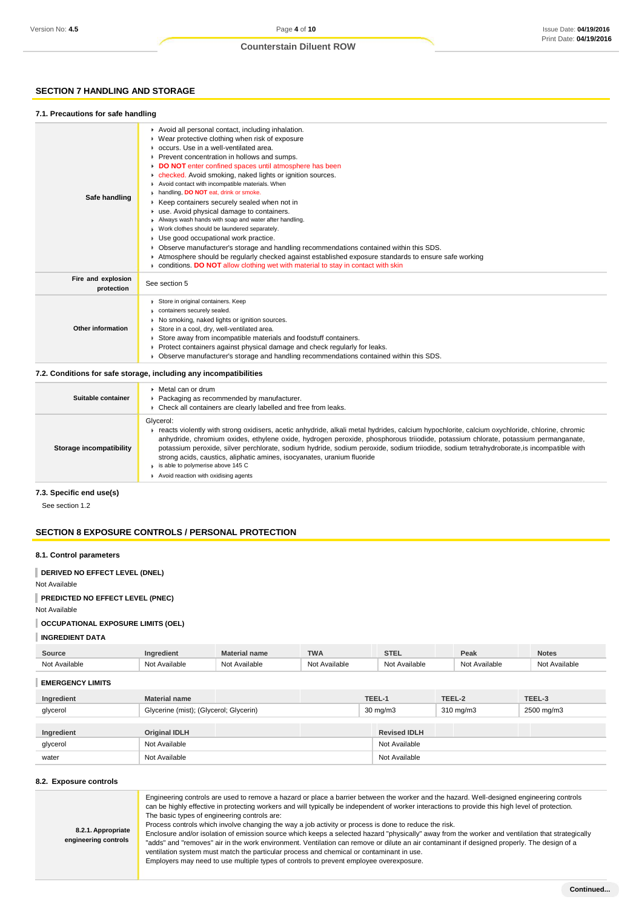## **Counterstain Diluent ROW**

## **SECTION 7 HANDLING AND STORAGE**

## **7.1. Precautions for safe handling**

| Safe handling                    | Avoid all personal contact, including inhalation.<br>Wear protective clothing when risk of exposure<br>occurs. Use in a well-ventilated area.<br>Prevent concentration in hollows and sumps.<br>DO NOT enter confined spaces until atmosphere has been<br>checked. Avoid smoking, naked lights or ignition sources.<br>۰<br>Avoid contact with incompatible materials. When<br>h handling, DO NOT eat, drink or smoke.<br>▶ Keep containers securely sealed when not in<br>use. Avoid physical damage to containers.<br>Always wash hands with soap and water after handling.<br>Work clothes should be laundered separately.<br>Use good occupational work practice.<br>Observe manufacturer's storage and handling recommendations contained within this SDS.<br>Atmosphere should be regularly checked against established exposure standards to ensure safe working<br>conditions. DO NOT allow clothing wet with material to stay in contact with skin |
|----------------------------------|-------------------------------------------------------------------------------------------------------------------------------------------------------------------------------------------------------------------------------------------------------------------------------------------------------------------------------------------------------------------------------------------------------------------------------------------------------------------------------------------------------------------------------------------------------------------------------------------------------------------------------------------------------------------------------------------------------------------------------------------------------------------------------------------------------------------------------------------------------------------------------------------------------------------------------------------------------------|
| Fire and explosion<br>protection | See section 5                                                                                                                                                                                                                                                                                                                                                                                                                                                                                                                                                                                                                                                                                                                                                                                                                                                                                                                                               |
| Other information                | Store in original containers. Keep<br>containers securely sealed.<br>No smoking, naked lights or ignition sources.<br>Store in a cool, dry, well-ventilated area.<br>Store away from incompatible materials and foodstuff containers.<br>Protect containers against physical damage and check regularly for leaks.<br>Observe manufacturer's storage and handling recommendations contained within this SDS.                                                                                                                                                                                                                                                                                                                                                                                                                                                                                                                                                |
|                                  | 7.2. Conditions for safe storage, including any incompatibilities                                                                                                                                                                                                                                                                                                                                                                                                                                                                                                                                                                                                                                                                                                                                                                                                                                                                                           |

| Suitable container      | Metal can or drum<br>Packaging as recommended by manufacturer.<br>Check all containers are clearly labelled and free from leaks.                                                                                                                                                                                                                                                                                                                                                                                                                                                                    |
|-------------------------|-----------------------------------------------------------------------------------------------------------------------------------------------------------------------------------------------------------------------------------------------------------------------------------------------------------------------------------------------------------------------------------------------------------------------------------------------------------------------------------------------------------------------------------------------------------------------------------------------------|
| Storage incompatibility | Glycerol:<br>reacts violently with strong oxidisers, acetic anhydride, alkali metal hydrides, calcium hypochlorite, calcium oxychloride, chlorine, chromic<br>anhydride, chromium oxides, ethylene oxide, hydrogen peroxide, phosphorous triiodide, potassium chlorate, potassium permanganate,<br>potassium peroxide, silver perchlorate, sodium hydride, sodium peroxide, sodium triiodide, sodium tetrahydroborate, is incompatible with<br>strong acids, caustics, aliphatic amines, isocyanates, uranium fluoride<br>is able to polymerise above 145 C<br>Avoid reaction with oxidising agents |

**7.3. Specific end use(s)**

See section 1.2

## **SECTION 8 EXPOSURE CONTROLS / PERSONAL PROTECTION**

## **8.1. Control parameters**

**DERIVED NO EFFECT LEVEL (DNEL)**

## Not Available

**PREDICTED NO EFFECT LEVEL (PNEC)**

Not Available

## **OCCUPATIONAL EXPOSURE LIMITS (OEL)**

**INGREDIENT DATA**

| <b>Source</b>           | Ingredient                             | <b>Material name</b> | <b>TWA</b>    |                   | <b>STEL</b>   |                    | Peak          | <b>Notes</b>  |
|-------------------------|----------------------------------------|----------------------|---------------|-------------------|---------------|--------------------|---------------|---------------|
| Not Available           | Not Available                          | Not Available        | Not Available |                   | Not Available |                    | Not Available | Not Available |
| <b>EMERGENCY LIMITS</b> |                                        |                      |               |                   |               |                    |               |               |
| Ingredient              | <b>Material name</b>                   |                      |               | TEEL-1            |               | TEEL-2             |               | TEEL-3        |
| glycerol                | Glycerine (mist); (Glycerol; Glycerin) |                      |               | $30 \text{ mg/m}$ |               | $310 \text{ mg/m}$ |               | 2500 mg/m3    |

|            |                      |                     | _________ |
|------------|----------------------|---------------------|-----------|
|            |                      |                     |           |
| Ingredient | <b>Original IDLH</b> | <b>Revised IDLH</b> |           |
| glycerol   | Not Available        | Not Available       |           |
| water      | Not Available        | Not Available       |           |

## **8.2. Exposure controls**

| Engineering controls are used to remove a hazard or place a barrier between the worker and the hazard. Well-designed engineering controls<br>can be highly effective in protecting workers and will typically be independent of worker interactions to provide this high level of protection.<br>The basic types of engineering controls are:<br>Process controls which involve changing the way a job activity or process is done to reduce the risk.<br>8.2.1. Appropriate<br>Enclosure and/or isolation of emission source which keeps a selected hazard "physically" away from the worker and ventilation that strategically<br>engineering controls<br>"adds" and "removes" air in the work environment. Ventilation can remove or dilute an air contaminant if designed properly. The design of a<br>ventilation system must match the particular process and chemical or contaminant in use.<br>Employers may need to use multiple types of controls to prevent employee overexposure. |  |
|-----------------------------------------------------------------------------------------------------------------------------------------------------------------------------------------------------------------------------------------------------------------------------------------------------------------------------------------------------------------------------------------------------------------------------------------------------------------------------------------------------------------------------------------------------------------------------------------------------------------------------------------------------------------------------------------------------------------------------------------------------------------------------------------------------------------------------------------------------------------------------------------------------------------------------------------------------------------------------------------------|--|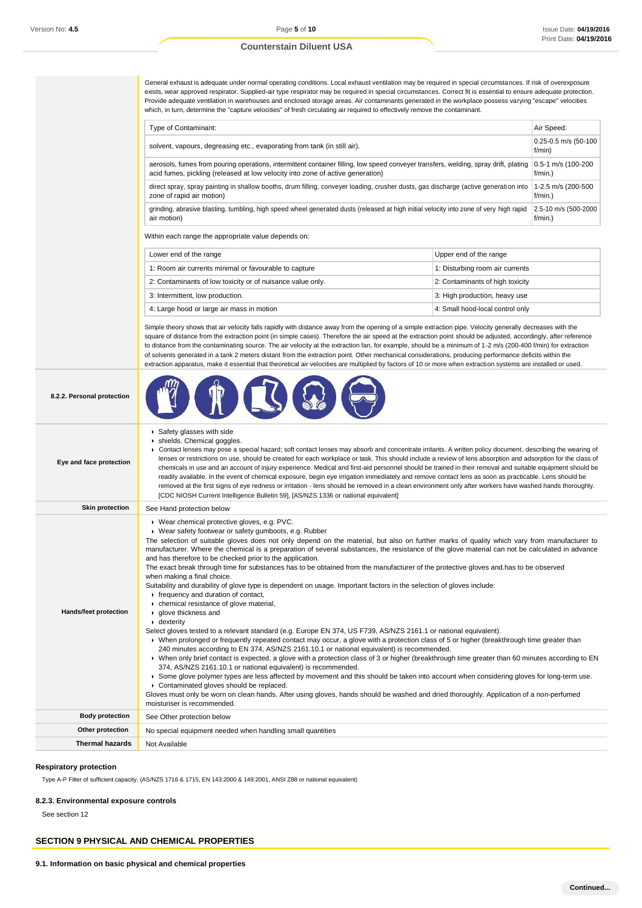## **Counterstain Diluent USA**

General exhaust is adequate under normal operating conditions. Local exhaust ventilation may be required in special circumstances. If risk of overexposure exists, wear approved respirator. Supplied-air type respirator may be required in special circumstances. Correct fit is essential to ensure adequate protection. Provide adequate ventilation in warehouses and enclosed storage areas. Air contaminants generated in the workplace possess varying "escape" velocities which, in turn, determine the "capture velocities" of fresh circulating air required to effectively remove the contaminant.

| Type of Contaminant:                                                                                                                    | Air Speed:                     |
|-----------------------------------------------------------------------------------------------------------------------------------------|--------------------------------|
| solvent, vapours, degreasing etc., evaporating from tank (in still air).                                                                | 0.25-0.5 m/s (50-100<br>f/min) |
| aerosols, fumes from pouring operations, intermittent container filling, low speed conveyer transfers, welding, spray drift, plating    | 0.5-1 m/s (100-200             |
| acid fumes, pickling (released at low velocity into zone of active generation)                                                          | $f/min.$ )                     |
| direct spray, spray painting in shallow booths, drum filling, conveyer loading, crusher dusts, gas discharge (active generation into    | 1-2.5 m/s (200-500             |
| zone of rapid air motion)                                                                                                               | $f/min.$ )                     |
| grinding, abrasive blasting, tumbling, high speed wheel generated dusts (released at high initial velocity into zone of very high rapid | 2.5-10 m/s (500-2000           |
| air motion)                                                                                                                             | f/min.                         |

Within each range the appropriate value depends on:

| Lower end of the range                                     | Upper end of the range           |
|------------------------------------------------------------|----------------------------------|
| 1: Room air currents minimal or favourable to capture      | 1: Disturbing room air currents  |
| 2: Contaminants of low toxicity or of nuisance value only. | 2: Contaminants of high toxicity |
| 3: Intermittent, low production.                           | 3: High production, heavy use    |
| 4: Large hood or large air mass in motion                  | 4: Small hood-local control only |

Simple theory shows that air velocity falls rapidly with distance away from the opening of a simple extraction pipe. Velocity generally decreases with the square of distance from the extraction point (in simple cases). Therefore the air speed at the extraction point should be adjusted, accordingly, after reference to distance from the contaminating source. The air velocity at the extraction fan, for example, should be a minimum of 1-2 m/s (200-400 f/min) for extraction of solvents generated in a tank 2 meters distant from the extraction point. Other mechanical considerations, producing performance deficits within the extraction apparatus, make it essential that theoretical air velocities are multiplied by factors of 10 or more when extraction systems are installed or used.

| 8.2.2. Personal protection |                                                                                                                                                                                                                                                                                                                                                                                                                                                                                                                                                                                                                                                                                                                                                                                                                                                                                                                                                                                                                                                                                                                                                                                                                                                                                                                                                                                                                                                                                                                                                                                                                                                                                                                                                                                                                                                            |
|----------------------------|------------------------------------------------------------------------------------------------------------------------------------------------------------------------------------------------------------------------------------------------------------------------------------------------------------------------------------------------------------------------------------------------------------------------------------------------------------------------------------------------------------------------------------------------------------------------------------------------------------------------------------------------------------------------------------------------------------------------------------------------------------------------------------------------------------------------------------------------------------------------------------------------------------------------------------------------------------------------------------------------------------------------------------------------------------------------------------------------------------------------------------------------------------------------------------------------------------------------------------------------------------------------------------------------------------------------------------------------------------------------------------------------------------------------------------------------------------------------------------------------------------------------------------------------------------------------------------------------------------------------------------------------------------------------------------------------------------------------------------------------------------------------------------------------------------------------------------------------------------|
| Eye and face protection    | Safety glasses with side<br>ishields. Chemical goggles.<br>> Contact lenses may pose a special hazard; soft contact lenses may absorb and concentrate irritants. A written policy document, describing the wearing of<br>lenses or restrictions on use, should be created for each workplace or task. This should include a review of lens absorption and adsorption for the class of<br>chemicals in use and an account of injury experience. Medical and first-aid personnel should be trained in their removal and suitable equipment should be<br>readily available. In the event of chemical exposure, begin eye irrigation immediately and remove contact lens as soon as practicable. Lens should be<br>removed at the first signs of eye redness or irritation - lens should be removed in a clean environment only after workers have washed hands thoroughly.<br>[CDC NIOSH Current Intelligence Bulletin 59], [AS/NZS 1336 or national equivalent]                                                                                                                                                                                                                                                                                                                                                                                                                                                                                                                                                                                                                                                                                                                                                                                                                                                                                              |
| <b>Skin protection</b>     | See Hand protection below                                                                                                                                                                                                                                                                                                                                                                                                                                                                                                                                                                                                                                                                                                                                                                                                                                                                                                                                                                                                                                                                                                                                                                                                                                                                                                                                                                                                                                                                                                                                                                                                                                                                                                                                                                                                                                  |
| Hands/feet protection      | ▶ Wear chemical protective gloves, e.g. PVC.<br>• Wear safety footwear or safety gumboots, e.g. Rubber<br>The selection of suitable gloves does not only depend on the material, but also on further marks of quality which vary from manufacturer to<br>manufacturer. Where the chemical is a preparation of several substances, the resistance of the glove material can not be calculated in advance<br>and has therefore to be checked prior to the application.<br>The exact break through time for substances has to be obtained from the manufacturer of the protective gloves and has to be observed<br>when making a final choice.<br>Suitability and durability of glove type is dependent on usage. Important factors in the selection of gloves include:<br>Firequency and duration of contact,<br>• chemical resistance of glove material,<br>▶ glove thickness and<br>$\cdot$ dexterity<br>Select gloves tested to a relevant standard (e.g. Europe EN 374, US F739, AS/NZS 2161.1 or national equivalent).<br>► When prolonged or frequently repeated contact may occur, a glove with a protection class of 5 or higher (breakthrough time greater than<br>240 minutes according to EN 374, AS/NZS 2161.10.1 or national equivalent) is recommended.<br>▶ When only brief contact is expected, a glove with a protection class of 3 or higher (breakthrough time greater than 60 minutes according to EN<br>374, AS/NZS 2161.10.1 or national equivalent) is recommended.<br>▶ Some glove polymer types are less affected by movement and this should be taken into account when considering gloves for long-term use.<br>Contaminated gloves should be replaced.<br>Gloves must only be worn on clean hands. After using gloves, hands should be washed and dried thoroughly. Application of a non-perfumed<br>moisturiser is recommended. |
| <b>Body protection</b>     | See Other protection below                                                                                                                                                                                                                                                                                                                                                                                                                                                                                                                                                                                                                                                                                                                                                                                                                                                                                                                                                                                                                                                                                                                                                                                                                                                                                                                                                                                                                                                                                                                                                                                                                                                                                                                                                                                                                                 |
| Other protection           | No special equipment needed when handling small quantities                                                                                                                                                                                                                                                                                                                                                                                                                                                                                                                                                                                                                                                                                                                                                                                                                                                                                                                                                                                                                                                                                                                                                                                                                                                                                                                                                                                                                                                                                                                                                                                                                                                                                                                                                                                                 |
| <b>Thermal hazards</b>     | Not Available                                                                                                                                                                                                                                                                                                                                                                                                                                                                                                                                                                                                                                                                                                                                                                                                                                                                                                                                                                                                                                                                                                                                                                                                                                                                                                                                                                                                                                                                                                                                                                                                                                                                                                                                                                                                                                              |

#### **Respiratory protection**

Type A-P Filter of sufficient capacity. (AS/NZS 1716 & 1715, EN 143:2000 & 149:2001, ANSI Z88 or national equivalent)

#### **8.2.3. Environmental exposure controls**

See section 12

### **SECTION 9 PHYSICAL AND CHEMICAL PROPERTIES**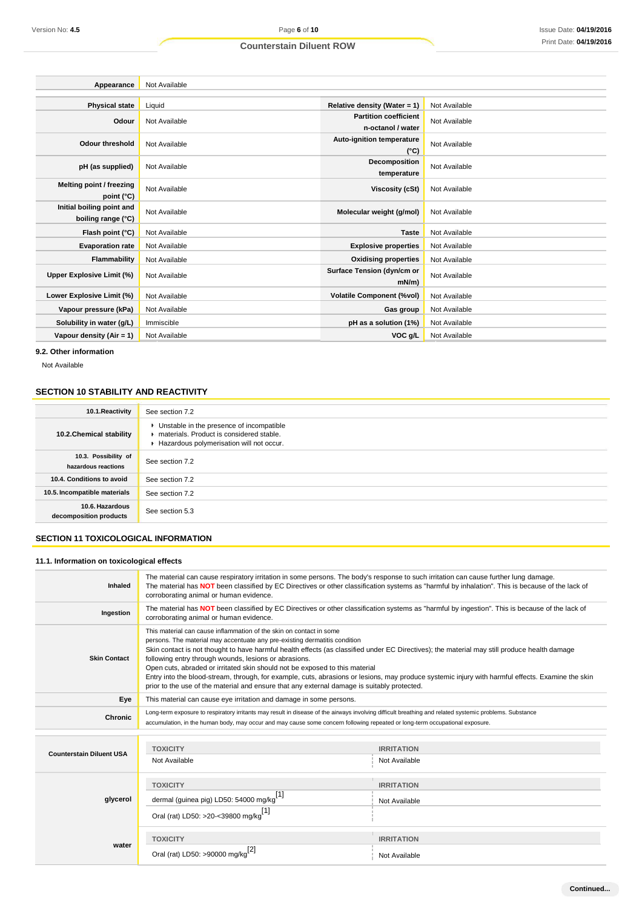| Appearance                       | Not Available |                                            |               |
|----------------------------------|---------------|--------------------------------------------|---------------|
|                                  |               |                                            |               |
| <b>Physical state</b>            | Liquid        | Relative density (Water = $1$ )            | Not Available |
| Odour                            | Not Available | <b>Partition coefficient</b>               | Not Available |
|                                  |               | n-octanol / water                          |               |
| <b>Odour threshold</b>           | Not Available | Auto-ignition temperature<br>$(^{\circ}C)$ | Not Available |
|                                  |               | Decomposition                              |               |
| pH (as supplied)                 | Not Available | temperature                                | Not Available |
|                                  |               |                                            |               |
| Melting point / freezing         | Not Available | <b>Viscosity (cSt)</b>                     | Not Available |
| point (°C)                       |               |                                            |               |
| Initial boiling point and        | Not Available | Molecular weight (g/mol)                   | Not Available |
| boiling range (°C)               |               |                                            |               |
| Flash point (°C)                 | Not Available | <b>Taste</b>                               | Not Available |
| <b>Evaporation rate</b>          | Not Available | <b>Explosive properties</b>                | Not Available |
| Flammability                     | Not Available | <b>Oxidising properties</b>                | Not Available |
| <b>Upper Explosive Limit (%)</b> | Not Available | Surface Tension (dyn/cm or                 | Not Available |
|                                  |               | $mN/m$ )                                   |               |
| Lower Explosive Limit (%)        | Not Available | <b>Volatile Component (%vol)</b>           | Not Available |
| Vapour pressure (kPa)            | Not Available | Gas group                                  | Not Available |
| Solubility in water (g/L)        | Immiscible    | pH as a solution (1%)                      | Not Available |
| Vapour density (Air = $1$ )      | Not Available | VOC g/L                                    | Not Available |

**9.2. Other information**

Not Available

## **SECTION 10 STABILITY AND REACTIVITY**

| 10.1. Reactivity                            | See section 7.2                                                                                                                  |
|---------------------------------------------|----------------------------------------------------------------------------------------------------------------------------------|
| 10.2. Chemical stability                    | Unstable in the presence of incompatible<br>materials. Product is considered stable.<br>Hazardous polymerisation will not occur. |
| 10.3. Possibility of<br>hazardous reactions | See section 7.2                                                                                                                  |
| 10.4. Conditions to avoid                   | See section 7.2                                                                                                                  |
| 10.5. Incompatible materials                | See section 7.2                                                                                                                  |
| 10.6. Hazardous<br>decomposition products   | See section 5.3                                                                                                                  |

## **SECTION 11 TOXICOLOGICAL INFORMATION**

## **11.1. Information on toxicological effects**

| Inhaled                         | The material can cause respiratory irritation in some persons. The body's response to such irritation can cause further lung damage.<br>The material has NOT been classified by EC Directives or other classification systems as "harmful by inhalation". This is because of the lack of<br>corroborating animal or human evidence.                                                                                                                                                                                                                                                                                                                                                           |                                    |  |
|---------------------------------|-----------------------------------------------------------------------------------------------------------------------------------------------------------------------------------------------------------------------------------------------------------------------------------------------------------------------------------------------------------------------------------------------------------------------------------------------------------------------------------------------------------------------------------------------------------------------------------------------------------------------------------------------------------------------------------------------|------------------------------------|--|
| Ingestion                       | The material has NOT been classified by EC Directives or other classification systems as "harmful by ingestion". This is because of the lack of<br>corroborating animal or human evidence.                                                                                                                                                                                                                                                                                                                                                                                                                                                                                                    |                                    |  |
| <b>Skin Contact</b>             | This material can cause inflammation of the skin on contact in some<br>persons. The material may accentuate any pre-existing dermatitis condition<br>Skin contact is not thought to have harmful health effects (as classified under EC Directives); the material may still produce health damage<br>following entry through wounds, lesions or abrasions.<br>Open cuts, abraded or irritated skin should not be exposed to this material<br>Entry into the blood-stream, through, for example, cuts, abrasions or lesions, may produce systemic injury with harmful effects. Examine the skin<br>prior to the use of the material and ensure that any external damage is suitably protected. |                                    |  |
| Eye                             | This material can cause eye irritation and damage in some persons.                                                                                                                                                                                                                                                                                                                                                                                                                                                                                                                                                                                                                            |                                    |  |
| <b>Chronic</b>                  | Long-term exposure to respiratory irritants may result in disease of the airways involving difficult breathing and related systemic problems. Substance<br>accumulation, in the human body, may occur and may cause some concern following repeated or long-term occupational exposure.                                                                                                                                                                                                                                                                                                                                                                                                       |                                    |  |
| <b>Counterstain Diluent USA</b> | <b>TOXICITY</b><br>Not Available                                                                                                                                                                                                                                                                                                                                                                                                                                                                                                                                                                                                                                                              | <b>IRRITATION</b><br>Not Available |  |
| glycerol                        | <b>TOXICITY</b><br>dermal (guinea pig) LD50: 54000 mg/kg <sup>[1]</sup><br>Oral (rat) LD50: >20-<39800 mg/kg <sup>[1]</sup>                                                                                                                                                                                                                                                                                                                                                                                                                                                                                                                                                                   | <b>IRRITATION</b><br>Not Available |  |
| water                           | <b>TOXICITY</b><br>Oral (rat) LD50: >90000 mg/kg <sup>[2]</sup>                                                                                                                                                                                                                                                                                                                                                                                                                                                                                                                                                                                                                               | <b>IRRITATION</b><br>Not Available |  |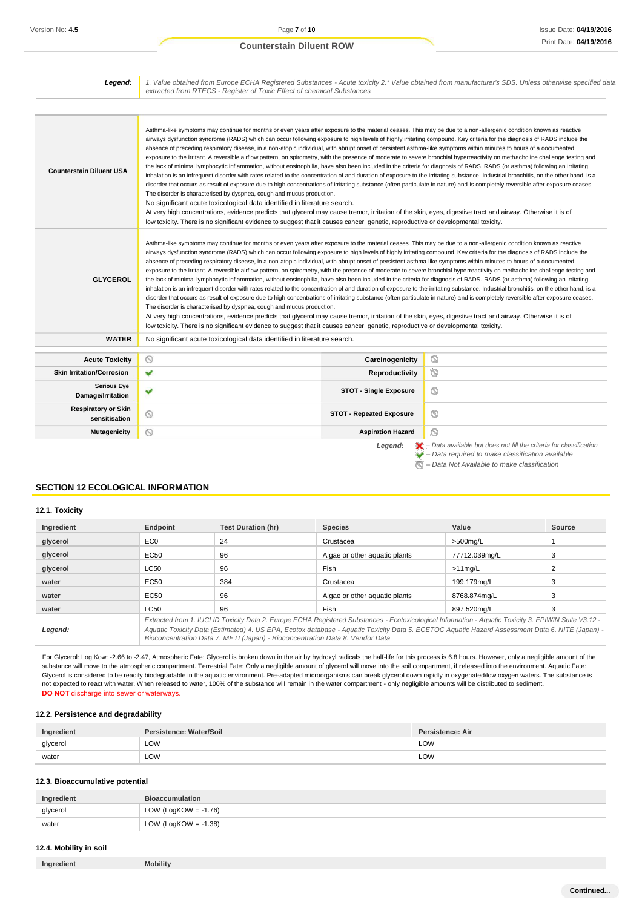| Legend:                                     | 1. Value obtained from Europe ECHA Registered Substances - Acute toxicity 2.* Value obtained from manufacturer's SDS. Unless otherwise specified data<br>extracted from RTECS - Register of Toxic Effect of chemical Substances                                                                                                                                                                                                                                                                                                                                                                                                                                                                                                                                                                                                                                                                                                                                                                                                                                                                                                                                                                                                                                                                                                                                                                                                                                                                                                                                                                                                                                                                                         |         |
|---------------------------------------------|-------------------------------------------------------------------------------------------------------------------------------------------------------------------------------------------------------------------------------------------------------------------------------------------------------------------------------------------------------------------------------------------------------------------------------------------------------------------------------------------------------------------------------------------------------------------------------------------------------------------------------------------------------------------------------------------------------------------------------------------------------------------------------------------------------------------------------------------------------------------------------------------------------------------------------------------------------------------------------------------------------------------------------------------------------------------------------------------------------------------------------------------------------------------------------------------------------------------------------------------------------------------------------------------------------------------------------------------------------------------------------------------------------------------------------------------------------------------------------------------------------------------------------------------------------------------------------------------------------------------------------------------------------------------------------------------------------------------------|---------|
| <b>Counterstain Diluent USA</b>             | Asthma-like symptoms may continue for months or even years after exposure to the material ceases. This may be due to a non-allergenic condition known as reactive<br>airways dysfunction syndrome (RADS) which can occur following exposure to high levels of highly irritating compound. Key criteria for the diagnosis of RADS include the<br>absence of preceding respiratory disease, in a non-atopic individual, with abrupt onset of persistent asthma-like symptoms within minutes to hours of a documented<br>exposure to the irritant. A reversible airflow pattern, on spirometry, with the presence of moderate to severe bronchial hyperreactivity on methacholine challenge testing and<br>the lack of minimal lymphocytic inflammation, without eosinophilia, have also been included in the criteria for diagnosis of RADS. RADS (or asthma) following an irritating<br>inhalation is an infrequent disorder with rates related to the concentration of and duration of exposure to the irritating substance. Industrial bronchitis, on the other hand, is a<br>disorder that occurs as result of exposure due to high concentrations of irritating substance (often particulate in nature) and is completely reversible after exposure ceases.<br>The disorder is characterised by dyspnea, cough and mucus production.<br>No significant acute toxicological data identified in literature search.<br>At very high concentrations, evidence predicts that glycerol may cause tremor, irritation of the skin, eyes, digestive tract and airway. Otherwise it is of<br>low toxicity. There is no significant evidence to suggest that it causes cancer, genetic, reproductive or developmental toxicity. |         |
|                                             | Asthma-like symptoms may continue for months or even years after exposure to the material ceases. This may be due to a non-allergenic condition known as reactive                                                                                                                                                                                                                                                                                                                                                                                                                                                                                                                                                                                                                                                                                                                                                                                                                                                                                                                                                                                                                                                                                                                                                                                                                                                                                                                                                                                                                                                                                                                                                       |         |
| <b>GLYCEROL</b>                             | airways dysfunction syndrome (RADS) which can occur following exposure to high levels of highly irritating compound. Key criteria for the diagnosis of RADS include the<br>absence of preceding respiratory disease, in a non-atopic individual, with abrupt onset of persistent asthma-like symptoms within minutes to hours of a documented<br>exposure to the irritant. A reversible airflow pattern, on spirometry, with the presence of moderate to severe bronchial hyperreactivity on methacholine challenge testing and<br>the lack of minimal lymphocytic inflammation, without eosinophilia, have also been included in the criteria for diagnosis of RADS. RADS (or asthma) following an irritating<br>inhalation is an infrequent disorder with rates related to the concentration of and duration of exposure to the irritating substance. Industrial bronchitis, on the other hand, is a<br>disorder that occurs as result of exposure due to high concentrations of irritating substance (often particulate in nature) and is completely reversible after exposure ceases.<br>The disorder is characterised by dyspnea, cough and mucus production.<br>At very high concentrations, evidence predicts that glycerol may cause tremor, irritation of the skin, eyes, digestive tract and airway. Otherwise it is of                                                                                                                                                                                                                                                                                                                                                                                       |         |
| <b>WATER</b>                                | low toxicity. There is no significant evidence to suggest that it causes cancer, genetic, reproductive or developmental toxicity.<br>No significant acute toxicological data identified in literature search.                                                                                                                                                                                                                                                                                                                                                                                                                                                                                                                                                                                                                                                                                                                                                                                                                                                                                                                                                                                                                                                                                                                                                                                                                                                                                                                                                                                                                                                                                                           |         |
| <b>Acute Toxicity</b>                       | $\circ$<br>Carcinogenicity                                                                                                                                                                                                                                                                                                                                                                                                                                                                                                                                                                                                                                                                                                                                                                                                                                                                                                                                                                                                                                                                                                                                                                                                                                                                                                                                                                                                                                                                                                                                                                                                                                                                                              | O       |
| <b>Skin Irritation/Corrosion</b>            | v<br>Reproductivity                                                                                                                                                                                                                                                                                                                                                                                                                                                                                                                                                                                                                                                                                                                                                                                                                                                                                                                                                                                                                                                                                                                                                                                                                                                                                                                                                                                                                                                                                                                                                                                                                                                                                                     | O       |
| <b>Serious Eye</b><br>Damage/Irritation     | v<br><b>STOT - Single Exposure</b>                                                                                                                                                                                                                                                                                                                                                                                                                                                                                                                                                                                                                                                                                                                                                                                                                                                                                                                                                                                                                                                                                                                                                                                                                                                                                                                                                                                                                                                                                                                                                                                                                                                                                      | $\circ$ |
| <b>Respiratory or Skin</b><br>sensitisation | Q<br><b>STOT - Repeated Exposure</b>                                                                                                                                                                                                                                                                                                                                                                                                                                                                                                                                                                                                                                                                                                                                                                                                                                                                                                                                                                                                                                                                                                                                                                                                                                                                                                                                                                                                                                                                                                                                                                                                                                                                                    | Ø       |

*– Data Not Available to make classification*

## **SECTION 12 ECOLOGICAL INFORMATION**

#### **12.1. Toxicity**

| Ingredient | Endpoint                                                                                                                                                                                                                                                                                                                                                                                 | <b>Test Duration (hr)</b> | <b>Species</b>                | Value         | Source |
|------------|------------------------------------------------------------------------------------------------------------------------------------------------------------------------------------------------------------------------------------------------------------------------------------------------------------------------------------------------------------------------------------------|---------------------------|-------------------------------|---------------|--------|
| glycerol   | EC <sub>0</sub>                                                                                                                                                                                                                                                                                                                                                                          | 24                        | Crustacea                     | $>500$ mg/L   |        |
| glycerol   | EC50                                                                                                                                                                                                                                                                                                                                                                                     | 96                        | Algae or other aquatic plants | 77712.039mg/L | 3      |
| glycerol   | LC50                                                                                                                                                                                                                                                                                                                                                                                     | 96                        | Fish                          | $>11$ ma/L    |        |
| water      | <b>EC50</b>                                                                                                                                                                                                                                                                                                                                                                              | 384                       | Crustacea                     | 199.179mg/L   | 3      |
| water      | EC50                                                                                                                                                                                                                                                                                                                                                                                     | 96                        | Algae or other aquatic plants | 8768.874mg/L  | 3      |
| water      | LC50                                                                                                                                                                                                                                                                                                                                                                                     | 96                        | Fish                          | 897.520ma/L   | 3      |
| Legend:    | Extracted from 1. IUCLID Toxicity Data 2. Europe ECHA Registered Substances - Ecotoxicological Information - Aquatic Toxicity 3. EPIWIN Suite V3.12 -<br>Aquatic Toxicity Data (Estimated) 4. US EPA, Ecotox database - Aquatic Toxicity Data 5. ECETOC Aquatic Hazard Assessment Data 6. NITE (Japan) -<br>Bioconcentration Data 7. METI (Japan) - Bioconcentration Data 8. Vendor Data |                           |                               |               |        |

For Glycerol: Log Kow: -2.66 to -2.47, Atmospheric Fate: Glycerol is broken down in the air by hydroxyl radicals the half-life for this process is 6.8 hours. However, only a negligible amount of the substance will move to the atmospheric compartment. Terrestrial Fate: Only a negligible amount of glycerol will move into the soil compartment, if released into the environment. Aquatic Fate: Glycerol is considered to be readily biodegradable in the aquatic environment. Pre-adapted microorganisms can break glycerol down rapidly in oxygenated/low oxygen waters. The substance is not expected to react with water. When released to water, 100% of the substance will remain in the water compartment - only negligible amounts will be distributed to sediment. **DO NOT** discharge into sewer or waterways.

## **12.2. Persistence and degradability**

| Ingredient | <b>Water/Soil</b><br>stence - | <b>Persistence: Air</b> |
|------------|-------------------------------|-------------------------|
| glycerol   | LOW                           | LOW                     |
| water      | LOW<br>$\sim$ $\sim$          | LOW<br>$\sim$           |

#### **12.3. Bioaccumulative potential**

| Ingredient | <b>Bioaccumulation</b>  |
|------------|-------------------------|
| glycerol   | LOW (LogKOW = $-1.76$ ) |
| water      | LOW (LogKOW = $-1.38$ ) |

## **12.4. Mobility in soil**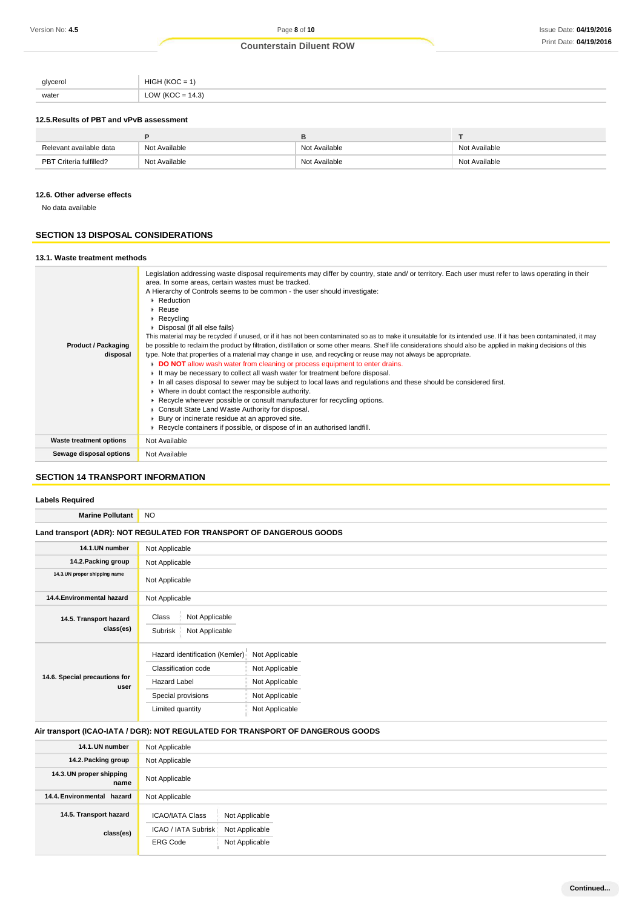| glycerol<br><u> J'J</u> | <b>IKOC</b><br>HIGH<br>$\cdot =$    |
|-------------------------|-------------------------------------|
| water                   | (4.3)<br>11/21<br>$-$<br><b>LUV</b> |

## **12.5.Results of PBT and vPvB assessment**

| Relevant available data | Not Available | Not Available | Not Available |
|-------------------------|---------------|---------------|---------------|
| PBT Criteria fulfilled? | t Available   | Not Available | Not Available |

## **12.6. Other adverse effects**

No data available

## **SECTION 13 DISPOSAL CONSIDERATIONS**

## **13.1. Waste treatment methods**

| <b>Product / Packaging</b><br>disposal | Legislation addressing waste disposal requirements may differ by country, state and/ or territory. Each user must refer to laws operating in their<br>area. In some areas, certain wastes must be tracked.<br>A Hierarchy of Controls seems to be common - the user should investigate:<br>Reduction<br>$F$ Reuse<br>$\triangleright$ Recycling<br>Disposal (if all else fails)<br>This material may be recycled if unused, or if it has not been contaminated so as to make it unsuitable for its intended use. If it has been contaminated, it may<br>be possible to reclaim the product by filtration, distillation or some other means. Shelf life considerations should also be applied in making decisions of this<br>type. Note that properties of a material may change in use, and recycling or reuse may not always be appropriate.<br><b>DO NOT</b> allow wash water from cleaning or process equipment to enter drains.<br>$\overline{v}$ It may be necessary to collect all wash water for treatment before disposal.<br>In all cases disposal to sewer may be subject to local laws and regulations and these should be considered first.<br>• Where in doubt contact the responsible authority.<br>► Recycle wherever possible or consult manufacturer for recycling options.<br>Consult State Land Waste Authority for disposal.<br>Bury or incinerate residue at an approved site.<br>Recycle containers if possible, or dispose of in an authorised landfill. |
|----------------------------------------|---------------------------------------------------------------------------------------------------------------------------------------------------------------------------------------------------------------------------------------------------------------------------------------------------------------------------------------------------------------------------------------------------------------------------------------------------------------------------------------------------------------------------------------------------------------------------------------------------------------------------------------------------------------------------------------------------------------------------------------------------------------------------------------------------------------------------------------------------------------------------------------------------------------------------------------------------------------------------------------------------------------------------------------------------------------------------------------------------------------------------------------------------------------------------------------------------------------------------------------------------------------------------------------------------------------------------------------------------------------------------------------------------------------------------------------------------------------------------------|
| <b>Waste treatment options</b>         | Not Available                                                                                                                                                                                                                                                                                                                                                                                                                                                                                                                                                                                                                                                                                                                                                                                                                                                                                                                                                                                                                                                                                                                                                                                                                                                                                                                                                                                                                                                                   |
| Sewage disposal options                | Not Available                                                                                                                                                                                                                                                                                                                                                                                                                                                                                                                                                                                                                                                                                                                                                                                                                                                                                                                                                                                                                                                                                                                                                                                                                                                                                                                                                                                                                                                                   |
|                                        |                                                                                                                                                                                                                                                                                                                                                                                                                                                                                                                                                                                                                                                                                                                                                                                                                                                                                                                                                                                                                                                                                                                                                                                                                                                                                                                                                                                                                                                                                 |

## **SECTION 14 TRANSPORT INFORMATION**

## **Labels Required**

| <b>Marine Pollutant</b>                                              | NO.                                                                                                                    |                                                                                        |  |
|----------------------------------------------------------------------|------------------------------------------------------------------------------------------------------------------------|----------------------------------------------------------------------------------------|--|
| Land transport (ADR): NOT REGULATED FOR TRANSPORT OF DANGEROUS GOODS |                                                                                                                        |                                                                                        |  |
| 14.1.UN number                                                       | Not Applicable                                                                                                         |                                                                                        |  |
| 14.2. Packing group                                                  | Not Applicable                                                                                                         |                                                                                        |  |
| 14.3.UN proper shipping name                                         | Not Applicable                                                                                                         |                                                                                        |  |
| 14.4. Environmental hazard                                           | Not Applicable                                                                                                         |                                                                                        |  |
| 14.5. Transport hazard<br>class(es)                                  | Not Applicable<br>Class<br>Not Applicable<br>Subrisk                                                                   |                                                                                        |  |
| 14.6. Special precautions for<br>user                                | Hazard identification (Kemler)<br>Classification code<br><b>Hazard Label</b><br>Special provisions<br>Limited quantity | Not Applicable<br>Not Applicable<br>Not Applicable<br>Not Applicable<br>Not Applicable |  |

## **Air transport (ICAO-IATA / DGR): NOT REGULATED FOR TRANSPORT OF DANGEROUS GOODS**

| 14.1. UN number                  | Not Applicable                                                                    |
|----------------------------------|-----------------------------------------------------------------------------------|
| 14.2. Packing group              | Not Applicable                                                                    |
| 14.3. UN proper shipping<br>name | Not Applicable                                                                    |
| 14.4. Environmental hazard       | Not Applicable                                                                    |
| 14.5. Transport hazard           | Not Applicable<br><b>ICAO/IATA Class</b><br>ICAO / IATA Subrisk<br>Not Applicable |
| class(es)                        | Not Applicable<br><b>ERG Code</b>                                                 |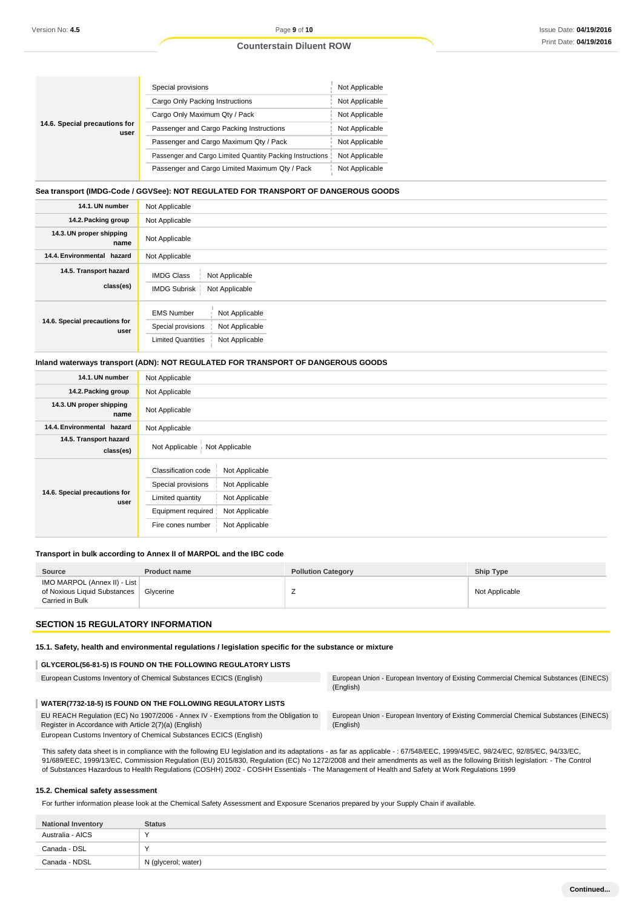|                                       | Special provisions                                        | Not Applicable |
|---------------------------------------|-----------------------------------------------------------|----------------|
|                                       | Cargo Only Packing Instructions                           | Not Applicable |
|                                       | Cargo Only Maximum Qty / Pack                             | Not Applicable |
| 14.6. Special precautions for<br>user | Passenger and Cargo Packing Instructions                  | Not Applicable |
|                                       | Passenger and Cargo Maximum Qtv / Pack                    | Not Applicable |
|                                       | Passenger and Cargo Limited Quantity Packing Instructions | Not Applicable |
|                                       | Passenger and Cargo Limited Maximum Qty / Pack            | Not Applicable |

## **Sea transport (IMDG-Code / GGVSee): NOT REGULATED FOR TRANSPORT OF DANGEROUS GOODS**

| 14.1. UN number                       | Not Applicable                                                                                                             |
|---------------------------------------|----------------------------------------------------------------------------------------------------------------------------|
| 14.2. Packing group                   | Not Applicable                                                                                                             |
| 14.3. UN proper shipping<br>name      | Not Applicable                                                                                                             |
| 14.4. Environmental hazard            | Not Applicable                                                                                                             |
| 14.5. Transport hazard<br>class(es)   | <b>IMDG Class</b><br>Not Applicable<br><b>IMDG Subrisk</b><br>Not Applicable                                               |
| 14.6. Special precautions for<br>user | <b>EMS Number</b><br>Not Applicable<br>Special provisions<br>Not Applicable<br>Not Applicable<br><b>Limited Quantities</b> |

#### **Inland waterways transport (ADN): NOT REGULATED FOR TRANSPORT OF DANGEROUS GOODS**

| 14.1. UN number                       | Not Applicable                                                                                                                                                                                     |
|---------------------------------------|----------------------------------------------------------------------------------------------------------------------------------------------------------------------------------------------------|
| 14.2. Packing group                   | Not Applicable                                                                                                                                                                                     |
| 14.3. UN proper shipping<br>name      | Not Applicable                                                                                                                                                                                     |
| 14.4. Environmental hazard            | Not Applicable                                                                                                                                                                                     |
| 14.5. Transport hazard<br>class(es)   | Not Applicable<br>Not Applicable                                                                                                                                                                   |
| 14.6. Special precautions for<br>user | Classification code<br>Not Applicable<br>Special provisions<br>Not Applicable<br>Not Applicable<br>Limited quantity<br>Not Applicable<br>Equipment required<br>Not Applicable<br>Fire cones number |

#### **Transport in bulk according to Annex II of MARPOL and the IBC code**

| IMO MARPOL (Annex II) - List  <br>of Noxious Liquid Substances   Glycerine<br>Not Applicable<br>Carried in Bulk | Source | <b>Product name</b> | <b>Pollution Category</b> | <b>Ship Type</b> |
|-----------------------------------------------------------------------------------------------------------------|--------|---------------------|---------------------------|------------------|
|                                                                                                                 |        |                     |                           |                  |

## **SECTION 15 REGULATORY INFORMATION**

#### **15.1. Safety, health and environmental regulations / legislation specific for the substance or mixture**

## **GLYCEROL(56-81-5) IS FOUND ON THE FOLLOWING REGULATORY LISTS**

| European Customs Inventory of Chemical Substances ECICS (English)                                                                             | Europear<br>(English) |
|-----------------------------------------------------------------------------------------------------------------------------------------------|-----------------------|
| WATER(7732-18-5) IS FOUND ON THE FOLLOWING REGULATORY LISTS                                                                                   |                       |
| EU REACH Regulation (EC) No 1907/2006 - Annex IV - Exemptions from the Obligation to<br>Register in Accordance with Article 2(7)(a) (English) | Europear<br>(English) |

European Customs Inventory of Chemical Substances ECICS (English)

European Customs Inventory of Chemical Substances ECICS (English) European Union - European Inventory of Existing Commercial Chemical Substances (EINECS) (English)

to European Union - European Inventory of Existing Commercial Chemical Substances (EINECS)

This safety data sheet is in compliance with the following EU legislation and its adaptations - as far as applicable - : 67/548/EEC, 1999/45/EC, 98/24/EC, 92/85/EC, 94/33/EC, 91/689/EEC, 1999/13/EC, Commission Regulation (EU) 2015/830, Regulation (EC) No 1272/2008 and their amendments as well as the following British legislation: - The Control of Substances Hazardous to Health Regulations (COSHH) 2002 - COSHH Essentials - The Management of Health and Safety at Work Regulations 1999

## **15.2. Chemical safety assessment**

For further information please look at the Chemical Safety Assessment and Exposure Scenarios prepared by your Supply Chain if available.

| <b>National Inventory</b> | <b>Status</b>       |
|---------------------------|---------------------|
| Australia - AICS          | $\lambda$           |
| Canada - DSL              | $\checkmark$        |
| Canada - NDSL             | N (glycerol; water) |